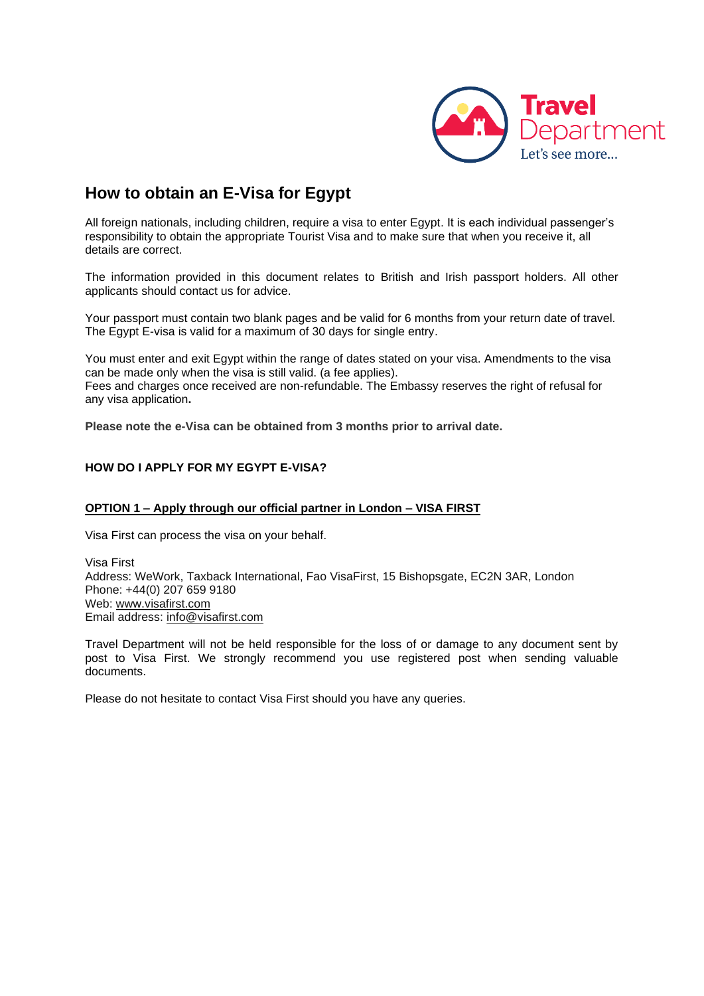

# **How to obtain an E-Visa for Egypt**

All foreign nationals, including children, require a visa to enter Egypt. It is each individual passenger's responsibility to obtain the appropriate Tourist Visa and to make sure that when you receive it, all details are correct.

The information provided in this document relates to British and Irish passport holders. All other applicants should contact us for advice.

Your passport must contain two blank pages and be valid for 6 months from your return date of travel. The Egypt E-visa is valid for a maximum of 30 days for single entry.

You must enter and exit Egypt within the range of dates stated on your visa. Amendments to the visa can be made only when the visa is still valid. (a fee applies). Fees and charges once received are non-refundable. The Embassy reserves the right of refusal for any visa application**.**

**Please note the e-Visa can be obtained from 3 months prior to arrival date.**

## **HOW DO I APPLY FOR MY EGYPT E-VISA?**

#### **OPTION 1 – Apply through our official partner in London – VISA FIRST**

Visa First can process the visa on your behalf.

Visa First Address: WeWork, Taxback International, Fao VisaFirst, 15 Bishopsgate, EC2N 3AR, London Phone: +44(0) 207 659 9180 Web: [www.visafirst.com](http://www.visafirst.com/)  Email address: [info@visafirst.com](mailto:info@visafirst.com)

Travel Department will not be held responsible for the loss of or damage to any document sent by post to Visa First. We strongly recommend you use registered post when sending valuable documents.

Please do not hesitate to contact Visa First should you have any queries.